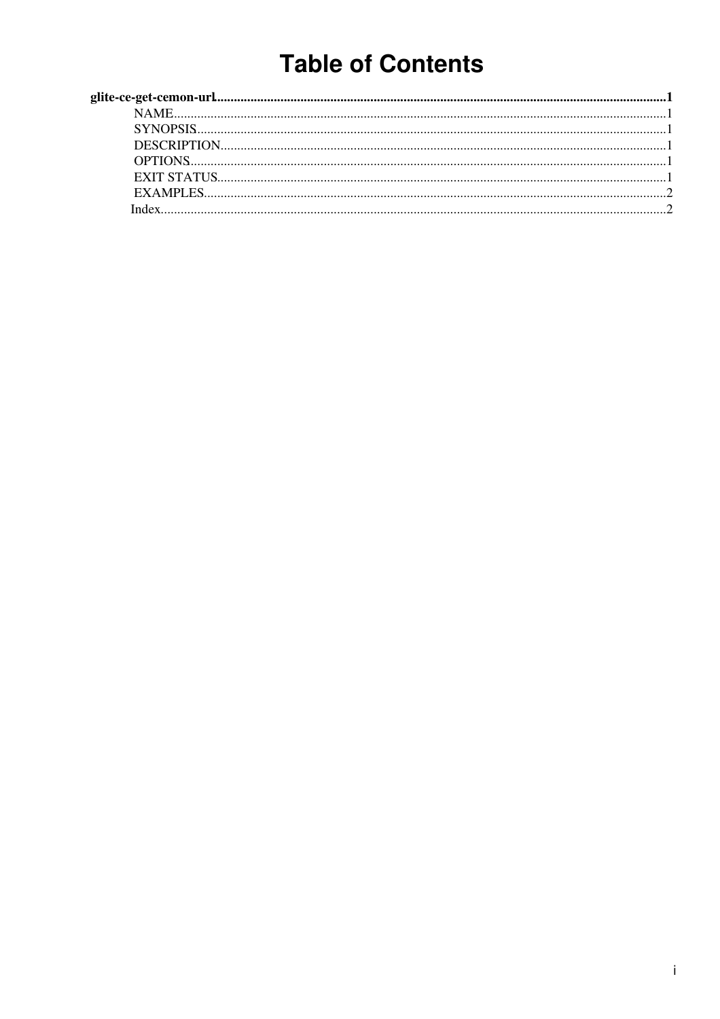# **Table of Contents**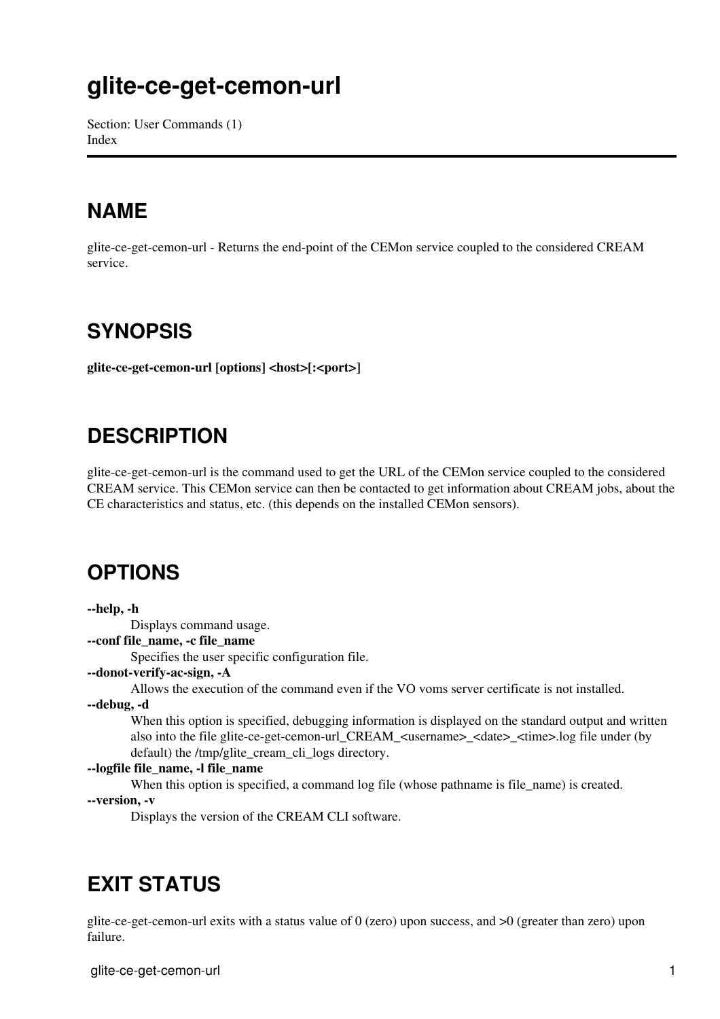# <span id="page-1-0"></span>**glite-ce-get-cemon-url**

Section: User Commands (1) [Index](#page-2-2)

### <span id="page-1-6"></span><span id="page-1-1"></span>**NAME**

glite-ce-get-cemon-url - Returns the end-point of the CEMon service coupled to the considered CREAM service.

#### <span id="page-1-7"></span><span id="page-1-2"></span>**SYNOPSIS**

<span id="page-1-8"></span>**glite-ce-get-cemon-url [options] <host>[:<port>]**

### <span id="page-1-3"></span>**DESCRIPTION**

glite-ce-get-cemon-url is the command used to get the URL of the CEMon service coupled to the considered CREAM service. This CEMon service can then be contacted to get information about CREAM jobs, about the CE characteristics and status, etc. (this depends on the installed CEMon sensors).

#### <span id="page-1-9"></span><span id="page-1-4"></span>**OPTIONS**

**--help, -h**

Displays command usage.

**--conf file\_name, -c file\_name**

Specifies the user specific configuration file.

**--donot-verify-ac-sign, -A**

Allows the execution of the command even if the VO voms server certificate is not installed.

**--debug, -d**

When this option is specified, debugging information is displayed on the standard output and written also into the file glite-ce-get-cemon-url\_CREAM\_<username> <date> <time>.log file under (by default) the /tmp/glite\_cream\_cli\_logs directory.

#### **--logfile file\_name, -l file\_name**

When this option is specified, a command log file (whose pathname is file name) is created.

**--version, -v**

Displays the version of the CREAM CLI software.

#### <span id="page-1-10"></span><span id="page-1-5"></span>**EXIT STATUS**

glite-ce-get-cemon-url exits with a status value of 0 (zero) upon success, and >0 (greater than zero) upon failure.